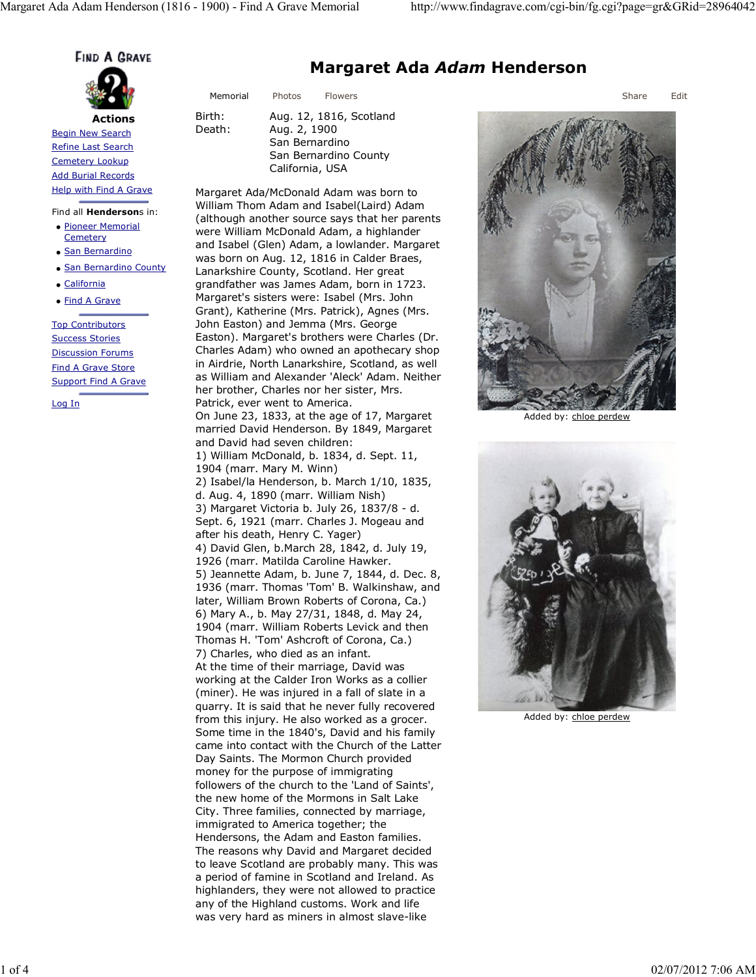**FIND A GRAVE** 



**Actions** Begin New Search Refine Last Search Cemetery Lookup Add Burial Records Help with Find A Grave

## Find all **Henderson**s in:

- Pioneer Memorial **Cemetery**
- San Bernardino
- San Bernardino County
- California
- Find A Grave

Top Contributors Success Stories Discussion Forums Find A Grave Store Support Find A Grave

Log In

## Memorial Photos Flowers Share Edit Photos Research Photos Photos Share Edit **Margaret Ada** *Adam* **Henderson**

Birth: Aug. 12, 1816, Scotland Death: Aug. 2, 1900 San Bernardino San Bernardino County California, USA

Margaret Ada/McDonald Adam was born to William Thom Adam and Isabel(Laird) Adam (although another source says that her parents were William McDonald Adam, a highlander and Isabel (Glen) Adam, a lowlander. Margaret was born on Aug. 12, 1816 in Calder Braes, Lanarkshire County, Scotland. Her great grandfather was James Adam, born in 1723. Margaret's sisters were: Isabel (Mrs. John Grant), Katherine (Mrs. Patrick), Agnes (Mrs. John Easton) and Jemma (Mrs. George Easton). Margaret's brothers were Charles (Dr. Charles Adam) who owned an apothecary shop in Airdrie, North Lanarkshire, Scotland, as well as William and Alexander 'Aleck' Adam. Neither her brother, Charles nor her sister, Mrs. Patrick, ever went to America. On June 23, 1833, at the age of 17, Margaret married David Henderson. By 1849, Margaret and David had seven children: 1) William McDonald, b. 1834, d. Sept. 11, 1904 (marr. Mary M. Winn) 2) Isabel/la Henderson, b. March 1/10, 1835, d. Aug. 4, 1890 (marr. William Nish) 3) Margaret Victoria b. July 26, 1837/8 - d. Sept. 6, 1921 (marr. Charles J. Mogeau and after his death, Henry C. Yager) 4) David Glen, b.March 28, 1842, d. July 19, 1926 (marr. Matilda Caroline Hawker. 5) Jeannette Adam, b. June 7, 1844, d. Dec. 8, 1936 (marr. Thomas 'Tom' B. Walkinshaw, and later, William Brown Roberts of Corona, Ca.) 6) Mary A., b. May 27/31, 1848, d. May 24, 1904 (marr. William Roberts Levick and then Thomas H. 'Tom' Ashcroft of Corona, Ca.) 7) Charles, who died as an infant. At the time of their marriage, David was working at the Calder Iron Works as a collier (miner). He was injured in a fall of slate in a quarry. It is said that he never fully recovered from this injury. He also worked as a grocer. Some time in the 1840's, David and his family came into contact with the Church of the Latter Day Saints. The Mormon Church provided money for the purpose of immigrating followers of the church to the 'Land of Saints', the new home of the Mormons in Salt Lake City. Three families, connected by marriage, immigrated to America together; the Hendersons, the Adam and Easton families. The reasons why David and Margaret decided to leave Scotland are probably many. This was a period of famine in Scotland and Ireland. As highlanders, they were not allowed to practice any of the Highland customs. Work and life was very hard as miners in almost slave-like



Added by: chloe perdew



Added by: chloe perdew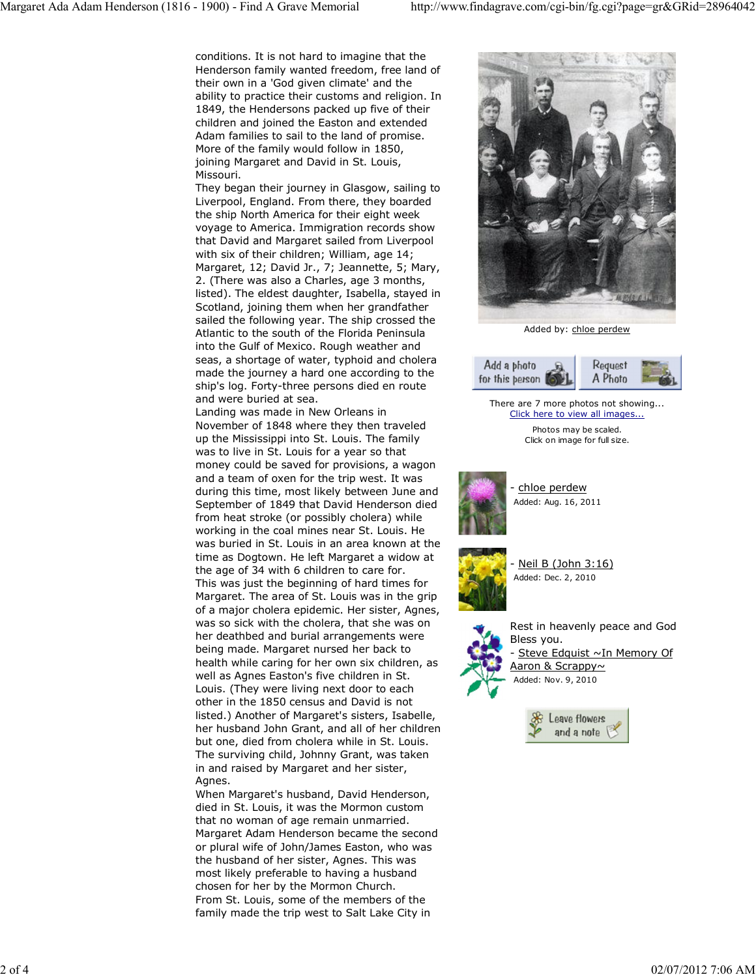conditions. It is not hard to imagine that the Henderson family wanted freedom, free land of their own in a 'God given climate' and the ability to practice their customs and religion. In 1849, the Hendersons packed up five of their children and joined the Easton and extended Adam families to sail to the land of promise. More of the family would follow in 1850, joining Margaret and David in St. Louis, Missouri.

They began their journey in Glasgow, sailing to Liverpool, England. From there, they boarded the ship North America for their eight week voyage to America. Immigration records show that David and Margaret sailed from Liverpool with six of their children; William, age 14; Margaret, 12; David Jr., 7; Jeannette, 5; Mary, 2. (There was also a Charles, age 3 months, listed). The eldest daughter, Isabella, stayed in Scotland, joining them when her grandfather sailed the following year. The ship crossed the Atlantic to the south of the Florida Peninsula into the Gulf of Mexico. Rough weather and seas, a shortage of water, typhoid and cholera made the journey a hard one according to the ship's log. Forty-three persons died en route and were buried at sea.

Landing was made in New Orleans in November of 1848 where they then traveled up the Mississippi into St. Louis. The family was to live in St. Louis for a year so that money could be saved for provisions, a wagon and a team of oxen for the trip west. It was during this time, most likely between June and September of 1849 that David Henderson died from heat stroke (or possibly cholera) while working in the coal mines near St. Louis. He was buried in St. Louis in an area known at the time as Dogtown. He left Margaret a widow at the age of 34 with 6 children to care for. This was just the beginning of hard times for Margaret. The area of St. Louis was in the grip of a major cholera epidemic. Her sister, Agnes, was so sick with the cholera, that she was on her deathbed and burial arrangements were being made. Margaret nursed her back to health while caring for her own six children, as well as Agnes Easton's five children in St. Louis. (They were living next door to each other in the 1850 census and David is not listed.) Another of Margaret's sisters, Isabelle, her husband John Grant, and all of her children but one, died from cholera while in St. Louis. The surviving child, Johnny Grant, was taken in and raised by Margaret and her sister, Agnes.

When Margaret's husband, David Henderson, died in St. Louis, it was the Mormon custom that no woman of age remain unmarried. Margaret Adam Henderson became the second or plural wife of John/James Easton, who was the husband of her sister, Agnes. This was most likely preferable to having a husband chosen for her by the Mormon Church. From St. Louis, some of the members of the family made the trip west to Salt Lake City in



Added by: chloe perdew



There are 7 more photos not showing... Click here to view all images... Photos may be scaled. Click on image for full size.



chloe perdew Added: Aug. 16, 2011

Neil B (John 3:16) Added: Dec. 2, 2010



Rest in heavenly peace and God



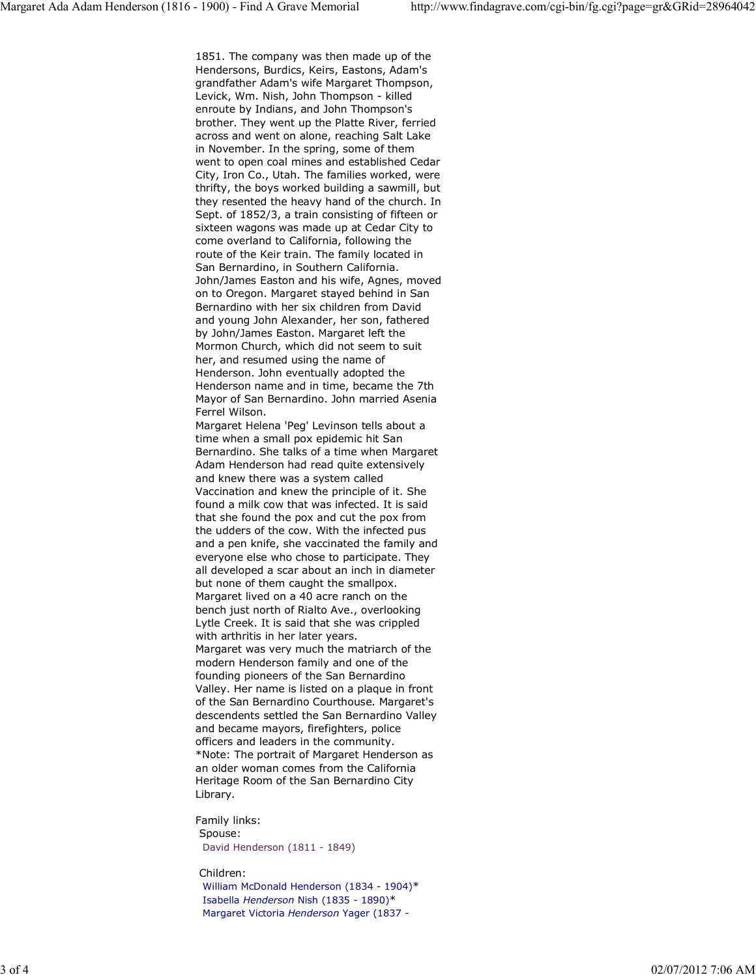1851. The company was then made up of the Hendersons, Burdics, Keirs, Eastons, Adam's grandfather Adam's wife Margaret Thompson, Levick, Wm. Nish, John Thompson - killed enroute by Indians, and John Thompson's brother. They went up the Platte River, ferried across and went on alone, reaching Salt Lake in November. In the spring, some of them went to open coal mines and established Cedar City, Iron Co., Utah. The families worked, were thrifty, the boys worked building a sawmill, but they resented the heavy hand of the church. In Sept. of 1852/3, a train consisting of fifteen or sixteen wagons was made up at Cedar City to come overland to California, following the route of the Keir train. The family located in San Bernardino, in Southern California. John/James Easton and his wife, Agnes, moved on to Oregon. Margaret stayed behind in San Bernardino with her six children from David and young John Alexander, her son, fathered by John/James Easton. Margaret left the Mormon Church, which did not seem to suit her, and resumed using the name of Henderson. John eventually adopted the Henderson name and in time, became the 7th Mayor of San Bernardino. John married Asenia Ferrel Wilson. Margaret Helena 'Peg' Levinson tells about a time when a small pox epidemic hit San Bernardino. She talks of a time when Margaret Adam Henderson had read quite extensively and knew there was a system called Vaccination and knew the principle of it. She found a milk cow that was infected. It is said that she found the pox and cut the pox from the udders of the cow. With the infected pus and a pen knife, she vaccinated the family and everyone else who chose to participate. They all developed a scar about an inch in diameter but none of them caught the smallpox. Margaret lived on a 40 acre ranch on the bench just north of Rialto Ave., overlooking Lytle Creek. It is said that she was crippled with arthritis in her later years. Margaret was very much the matriarch of the modern Henderson family and one of the founding pioneers of the San Bernardino Valley. Her name is listed on a plaque in front of the San Bernardino Courthouse. Margaret's descendents settled the San Bernardino Valley and became mayors, firefighters, police officers and leaders in the community. \*Note: The portrait of Margaret Henderson as

an older woman comes from the California Heritage Room of the San Bernardino City Library.

Family links: Spouse: David Henderson (1811 - 1849)

 Children: William McDonald Henderson (1834 - 1904)\* Isabella *Henderson* Nish (1835 - 1890)\* Margaret Victoria *Henderson* Yager (1837 -